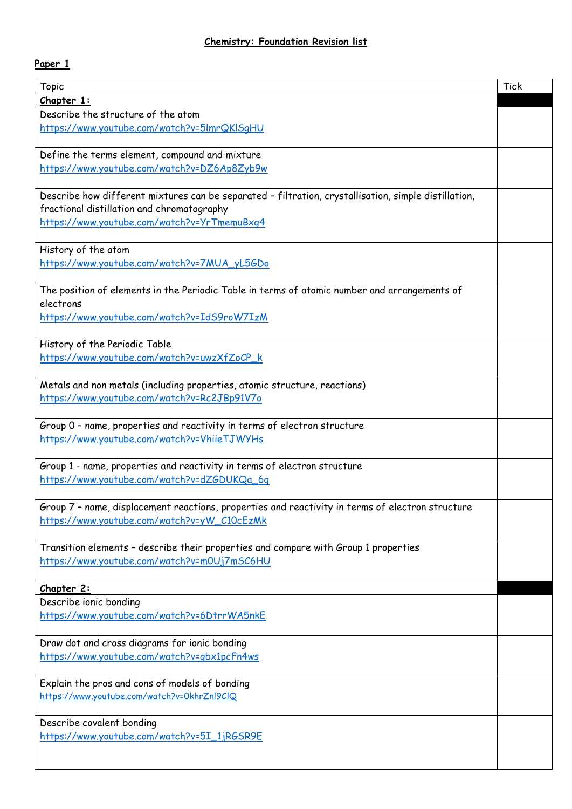## **Paper 1**

| Topic                                                                                                | <b>Tick</b> |
|------------------------------------------------------------------------------------------------------|-------------|
| Chapter 1:                                                                                           |             |
| Describe the structure of the atom                                                                   |             |
| https://www.youtube.com/watch?v=5ImrQKISqHU                                                          |             |
|                                                                                                      |             |
| Define the terms element, compound and mixture                                                       |             |
| https://www.youtube.com/watch?v=DZ6Ap8Zyb9w                                                          |             |
|                                                                                                      |             |
| Describe how different mixtures can be separated - filtration, crystallisation, simple distillation, |             |
| fractional distillation and chromatography                                                           |             |
| https://www.youtube.com/watch?v=YrTmemuBxq4                                                          |             |
|                                                                                                      |             |
| History of the atom                                                                                  |             |
| https://www.youtube.com/watch?v=7MUA_yL5GDo                                                          |             |
|                                                                                                      |             |
| The position of elements in the Periodic Table in terms of atomic number and arrangements of         |             |
| electrons                                                                                            |             |
| https://www.youtube.com/watch?v=IdS9roW7IzM                                                          |             |
|                                                                                                      |             |
| History of the Periodic Table                                                                        |             |
| https://www.youtube.com/watch?v=uwzXfZoCP_k                                                          |             |
|                                                                                                      |             |
| Metals and non metals (including properties, atomic structure, reactions)                            |             |
| https://www.youtube.com/watch?v=Rc2JBp91V7o                                                          |             |
|                                                                                                      |             |
| Group 0 - name, properties and reactivity in terms of electron structure                             |             |
| https://www.youtube.com/watch?v=VhiieTJWYHs                                                          |             |
|                                                                                                      |             |
| Group 1 - name, properties and reactivity in terms of electron structure                             |             |
| https://www.youtube.com/watch?v=dZGDUKQa_6q                                                          |             |
|                                                                                                      |             |
| Group 7 - name, displacement reactions, properties and reactivity in terms of electron structure     |             |
| https://www.youtube.com/watch?v=yW_C10cEzMk                                                          |             |
|                                                                                                      |             |
| Transition elements - describe their properties and compare with Group 1 properties                  |             |
| https://www.youtube.com/watch?v=m0Uj7mSC6HU                                                          |             |
|                                                                                                      |             |
| Chapter 2:                                                                                           |             |
| Describe ionic bonding                                                                               |             |
| https://www.youtube.com/watch?v=6DtrrWA5nkE                                                          |             |
|                                                                                                      |             |
| Draw dot and cross diagrams for ionic bonding                                                        |             |
| https://www.youtube.com/watch?v=gbx1pcFn4ws                                                          |             |
|                                                                                                      |             |
| Explain the pros and cons of models of bonding                                                       |             |
| https://www.youtube.com/watch?v=0khrZnl9ClQ                                                          |             |
|                                                                                                      |             |
| Describe covalent bonding                                                                            |             |
| https://www.youtube.com/watch?v=5I_1jRGSR9E                                                          |             |
|                                                                                                      |             |
|                                                                                                      |             |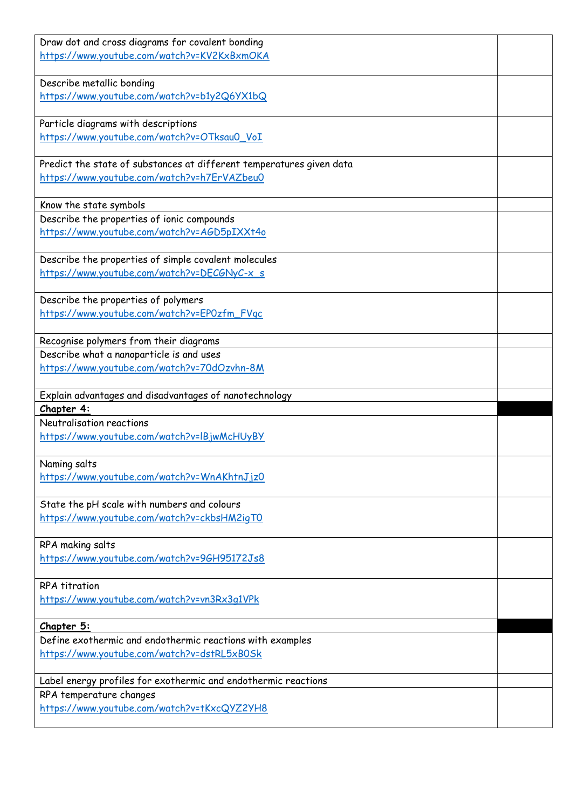| Draw dot and cross diagrams for covalent bonding<br>https://www.youtube.com/watch?v=KV2KxBxmOKA                     |  |
|---------------------------------------------------------------------------------------------------------------------|--|
| Describe metallic bonding<br>https://www.youtube.com/watch?v=b1y2Q6YX1bQ                                            |  |
| Particle diagrams with descriptions<br>https://www.youtube.com/watch?v=OTksau0_VoI                                  |  |
| Predict the state of substances at different temperatures given data<br>https://www.youtube.com/watch?v=h7ErVAZbeu0 |  |
| Know the state symbols                                                                                              |  |
| Describe the properties of ionic compounds<br>https://www.youtube.com/watch?v=AGD5pIXXt4o                           |  |
| Describe the properties of simple covalent molecules<br>https://www.youtube.com/watch?v=DECGNyC-x_s                 |  |
| Describe the properties of polymers<br>https://www.youtube.com/watch?v=EPOzfm_FVqc                                  |  |
| Recognise polymers from their diagrams                                                                              |  |
| Describe what a nanoparticle is and uses                                                                            |  |
| https://www.youtube.com/watch?v=70dOzvhn-8M                                                                         |  |
| Explain advantages and disadvantages of nanotechnology                                                              |  |
| Chapter 4:                                                                                                          |  |
| Neutralisation reactions<br>https://www.youtube.com/watch?v=IBjwMcHUyBY                                             |  |
| Naming salts<br>https://www.youtube.com/watch?v=WnAKhtnJjz0                                                         |  |
| State the pH scale with numbers and colours<br>https://www.youtube.com/watch?v=ckbsHM2iqT0                          |  |
| RPA making salts<br>https://www.youtube.com/watch?v=96H95172Js8                                                     |  |
| <b>RPA</b> titration                                                                                                |  |
| https://www.youtube.com/watch?v=vn3Rx3q1VPk                                                                         |  |
| Chapter 5:                                                                                                          |  |
| Define exothermic and endothermic reactions with examples<br>https://www.youtube.com/watch?v=dstRL5xB0Sk            |  |
| Label energy profiles for exothermic and endothermic reactions                                                      |  |
| RPA temperature changes<br>https://www.youtube.com/watch?v=tKxcQYZ2YH8                                              |  |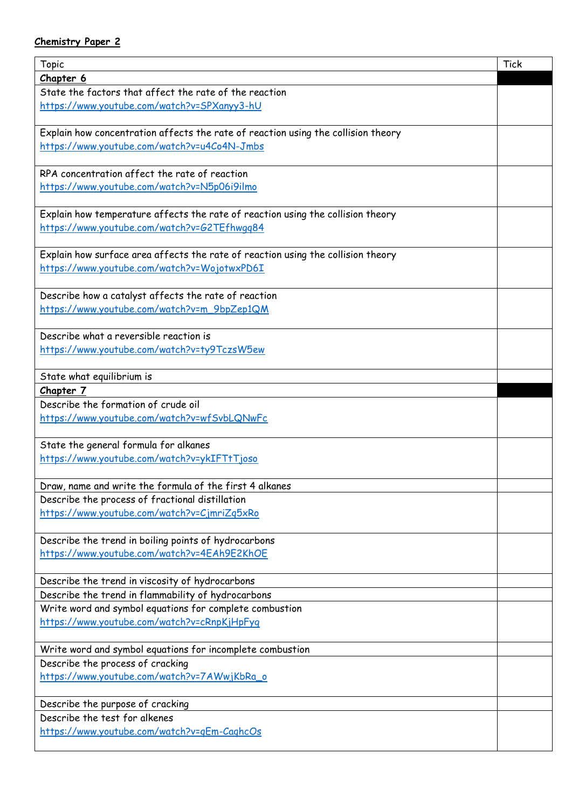## **Chemistry Paper 2**

| Topic                                                                             | <b>Tick</b> |
|-----------------------------------------------------------------------------------|-------------|
| Chapter 6                                                                         |             |
| State the factors that affect the rate of the reaction                            |             |
| https://www.youtube.com/watch?v=SPXanyy3-hU                                       |             |
|                                                                                   |             |
| Explain how concentration affects the rate of reaction using the collision theory |             |
| https://www.youtube.com/watch?v=u4Co4N-Jmbs                                       |             |
|                                                                                   |             |
| RPA concentration affect the rate of reaction                                     |             |
| https://www.youtube.com/watch?v=N5p06i9ilmo                                       |             |
|                                                                                   |             |
| Explain how temperature affects the rate of reaction using the collision theory   |             |
| https://www.youtube.com/watch?v=G2TEfhwqq84                                       |             |
|                                                                                   |             |
| Explain how surface area affects the rate of reaction using the collision theory  |             |
| https://www.youtube.com/watch?v=WojotwxPD6I                                       |             |
|                                                                                   |             |
| Describe how a catalyst affects the rate of reaction                              |             |
| https://www.youtube.com/watch?v=m_9bpZep1QM                                       |             |
|                                                                                   |             |
| Describe what a reversible reaction is                                            |             |
| https://www.youtube.com/watch?v=ty9TczsW5ew                                       |             |
|                                                                                   |             |
| State what equilibrium is                                                         |             |
| Chapter 7                                                                         |             |
| Describe the formation of crude oil                                               |             |
| https://www.youtube.com/watch?v=wfSvbLQNwFc                                       |             |
|                                                                                   |             |
| State the general formula for alkanes                                             |             |
| https://www.youtube.com/watch?v=ykIFTtTjoso                                       |             |
|                                                                                   |             |
| Draw, name and write the formula of the first 4 alkanes                           |             |
| Describe the process of fractional distillation                                   |             |
| https://www.youtube.com/watch?v=CjmriZq5xRo                                       |             |
|                                                                                   |             |
| Describe the trend in boiling points of hydrocarbons                              |             |
| https://www.youtube.com/watch?v=4EAh9E2KhOE                                       |             |
|                                                                                   |             |
| Describe the trend in viscosity of hydrocarbons                                   |             |
| Describe the trend in flammability of hydrocarbons                                |             |
| Write word and symbol equations for complete combustion                           |             |
| https://www.youtube.com/watch?v=cRnpKjHpFyq                                       |             |
|                                                                                   |             |
| Write word and symbol equations for incomplete combustion                         |             |
| Describe the process of cracking                                                  |             |
| https://www.youtube.com/watch?v=7AWwjKbRa_o                                       |             |
|                                                                                   |             |
| Describe the purpose of cracking                                                  |             |
| Describe the test for alkenes                                                     |             |
| https://www.youtube.com/watch?v=qEm-CaghcOs                                       |             |
|                                                                                   |             |